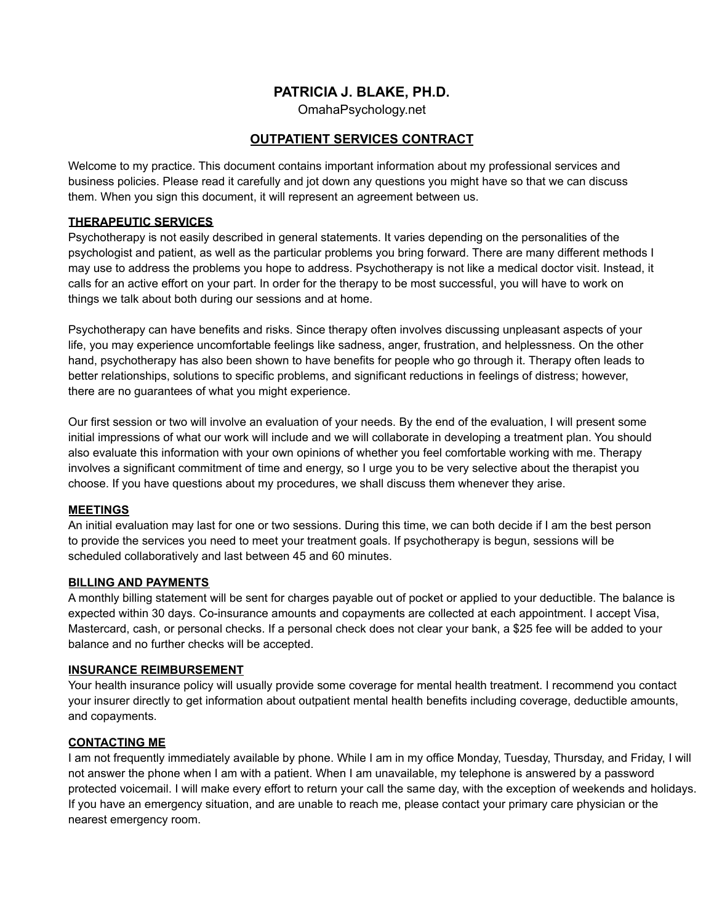# **PATRICIA J. BLAKE, PH.D.**

OmahaPsychology.net

## **OUTPATIENT SERVICES CONTRACT**

Welcome to my practice. This document contains important information about my professional services and business policies. Please read it carefully and jot down any questions you might have so that we can discuss them. When you sign this document, it will represent an agreement between us.

#### **THERAPEUTIC SERVICES**

Psychotherapy is not easily described in general statements. It varies depending on the personalities of the psychologist and patient, as well as the particular problems you bring forward. There are many different methods I may use to address the problems you hope to address. Psychotherapy is not like a medical doctor visit. Instead, it calls for an active effort on your part. In order for the therapy to be most successful, you will have to work on things we talk about both during our sessions and at home.

Psychotherapy can have benefits and risks. Since therapy often involves discussing unpleasant aspects of your life, you may experience uncomfortable feelings like sadness, anger, frustration, and helplessness. On the other hand, psychotherapy has also been shown to have benefits for people who go through it. Therapy often leads to better relationships, solutions to specific problems, and significant reductions in feelings of distress; however, there are no guarantees of what you might experience.

Our first session or two will involve an evaluation of your needs. By the end of the evaluation, I will present some initial impressions of what our work will include and we will collaborate in developing a treatment plan. You should also evaluate this information with your own opinions of whether you feel comfortable working with me. Therapy involves a significant commitment of time and energy, so I urge you to be very selective about the therapist you choose. If you have questions about my procedures, we shall discuss them whenever they arise.

#### **MEETINGS**

An initial evaluation may last for one or two sessions. During this time, we can both decide if I am the best person to provide the services you need to meet your treatment goals. If psychotherapy is begun, sessions will be scheduled collaboratively and last between 45 and 60 minutes.

### **BILLING AND PAYMENTS**

A monthly billing statement will be sent for charges payable out of pocket or applied to your deductible. The balance is expected within 30 days. Co-insurance amounts and copayments are collected at each appointment. I accept Visa, Mastercard, cash, or personal checks. If a personal check does not clear your bank, a \$25 fee will be added to your balance and no further checks will be accepted.

#### **INSURANCE REIMBURSEMENT**

Your health insurance policy will usually provide some coverage for mental health treatment. I recommend you contact your insurer directly to get information about outpatient mental health benefits including coverage, deductible amounts, and copayments.

#### **CONTACTING ME**

I am not frequently immediately available by phone. While I am in my office Monday, Tuesday, Thursday, and Friday, I will not answer the phone when I am with a patient. When I am unavailable, my telephone is answered by a password protected voicemail. I will make every effort to return your call the same day, with the exception of weekends and holidays. If you have an emergency situation, and are unable to reach me, please contact your primary care physician or the nearest emergency room.